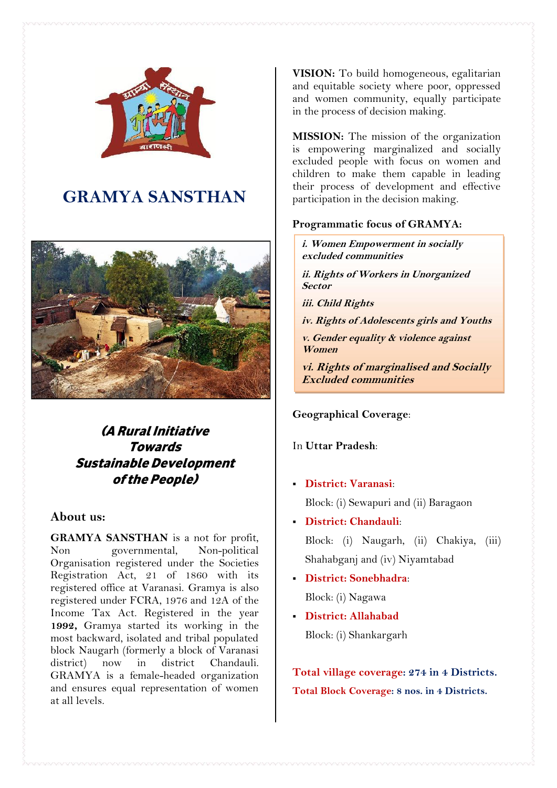

# **GRAMYA SANSTHAN**



## *(A Rural Initiative Towards Sustainable Development ofthe People)*

## **About us:**

**GRAMYA SANSTHAN** is a not for profit, Non governmental, Non-political Organisation registered under the Societies Registration Act, 21 of 1860 with its registered office at Varanasi. Gramya is also registered under FCRA, 1976 and 12A of the Income Tax Act. Registered in the year **1992,** Gramya started its working in the most backward, isolated and tribal populated block Naugarh (formerly a block of Varanasi district) now in district Chandauli. GRAMYA is a female-headed organization and ensures equal representation of women at all levels.

**VISION:** To build homogeneous, egalitarian and equitable society where poor, oppressed and women community, equally participate in the process of decision making.

**MISSION:** The mission of the organization is empowering marginalized and socially excluded people with focus on women and children to make them capable in leading their process of development and effective participation in the decision making.

## **Programmatic focus of GRAMYA:**

*i. Women Empowerment in socially excluded communities*

*ii. Rights of Workers in Unorganized Sector*

*iii. Child Rights*

*iv. Rights of Adolescents girls and Youths*

*v. Gender equality & violence against Women*

*vi. Rights of marginalised and Socially Excluded communities*

**Geographical Coverage**:

## In **Uttar Pradesh**:

**District: Varanasi**:

Block: (i) Sewapuri and (ii) Baragaon

- **District: Chandauli**: Block: (i) Naugarh, (ii) Chakiya, (iii) Shahabganj and (iv) Niyamtabad
- **District: Sonebhadra**: Block: (i) Nagawa
- **District: Allahabad** Block: (i) Shankargarh

**Total village coverage: 274 in 4 Districts. Total Block Coverage: 8 nos. in 4 Districts.**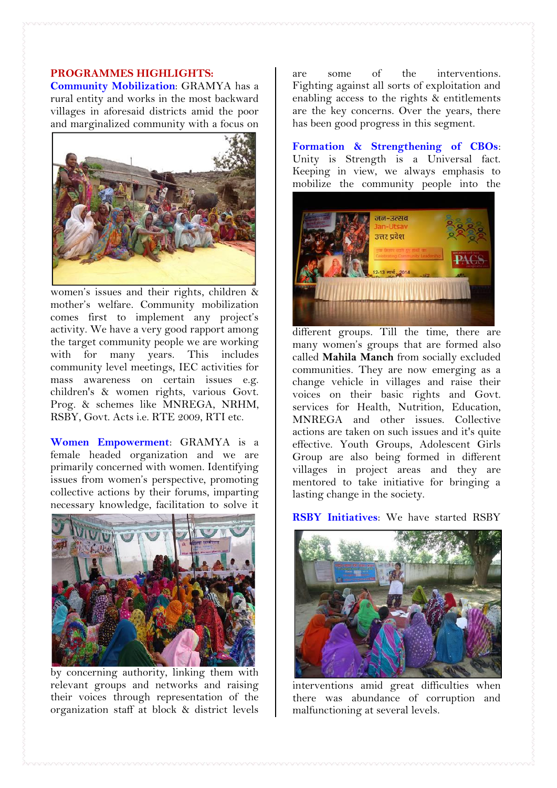## **PROGRAMMES HIGHLIGHTS:**

**Community Mobilization**: GRAMYA has a rural entity and works in the most backward villages in aforesaid districts amid the poor and marginalized community with a focus on



women's issues and their rights, children & mother's welfare. Community mobilization comes first to implement any project's activity. We have a very good rapport among the target community people we are working with for many years. This includes community level meetings, IEC activities for mass awareness on certain issues e.g. children's & women rights, various Govt. Prog. & schemes like MNREGA, NRHM, RSBY, Govt. Acts i.e. RTE 2009, RTI etc.

**Women Empowerment**: GRAMYA is a female headed organization and we are primarily concerned with women. Identifying issues from women's perspective, promoting collective actions by their forums, imparting necessary knowledge, facilitation to solve it



by concerning authority, linking them with relevant groups and networks and raising their voices through representation of the organization staff at block & district levels

are some of the interventions. Fighting against all sorts of exploitation and enabling access to the rights & entitlements are the key concerns. Over the years, there has been good progress in this segment.

**Formation & Strengthening of CBOs**: Unity is Strength is a Universal fact. Keeping in view, we always emphasis to mobilize the community people into the



different groups. Till the time, there are many women's groups that are formed also called **Mahila Manch** from socially excluded communities. They are now emerging as a change vehicle in villages and raise their voices on their basic rights and Govt. services for Health, Nutrition, Education, MNREGA and other issues. Collective actions are taken on such issues and it's quite effective. Youth Groups, Adolescent Girls Group are also being formed in different villages in project areas and they are mentored to take initiative for bringing a lasting change in the society.

#### **RSBY Initiatives**: We have started RSBY



interventions amid great difficulties when there was abundance of corruption and malfunctioning at several levels.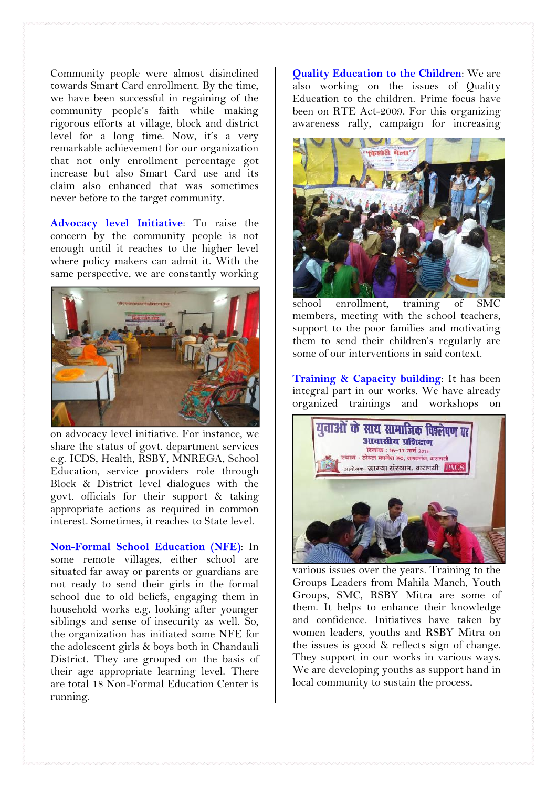Community people were almost disinclined towards Smart Card enrollment. By the time, we have been successful in regaining of the community people's faith while making rigorous efforts at village, block and district level for a long time. Now, it's a very remarkable achievement for our organization that not only enrollment percentage got increase but also Smart Card use and its claim also enhanced that was sometimes never before to the target community.

**Advocacy level Initiative**: To raise the concern by the community people is not enough until it reaches to the higher level where policy makers can admit it. With the same perspective, we are constantly working



on advocacy level initiative. For instance, we share the status of govt. department services e.g. ICDS, Health, RSBY, MNREGA, School Education, service providers role through Block & District level dialogues with the govt. officials for their support & taking appropriate actions as required in common interest. Sometimes, it reaches to State level.

**Non-Formal School Education (NFE)**: In some remote villages, either school are situated far away or parents or guardians are not ready to send their girls in the formal school due to old beliefs, engaging them in household works e.g. looking after younger siblings and sense of insecurity as well. So, the organization has initiated some NFE for the adolescent girls & boys both in Chandauli District. They are grouped on the basis of their age appropriate learning level. There are total 18 Non-Formal Education Center is running.

**Quality Education to the Children**: We are also working on the issues of Quality Education to the children. Prime focus have been on RTE Act-2009. For this organizing awareness rally, campaign for increasing



school enrollment, training of SMC members, meeting with the school teachers, support to the poor families and motivating them to send their children's regularly are some of our interventions in said context.

**Training & Capacity building**: It has been integral part in our works. We have already organized trainings and workshops on



various issues over the years. Training to the Groups Leaders from Mahila Manch, Youth Groups, SMC, RSBY Mitra are some of them. It helps to enhance their knowledge and confidence. Initiatives have taken by women leaders, youths and RSBY Mitra on the issues is good & reflects sign of change. They support in our works in various ways. We are developing youths as support hand in local community to sustain the process**.**